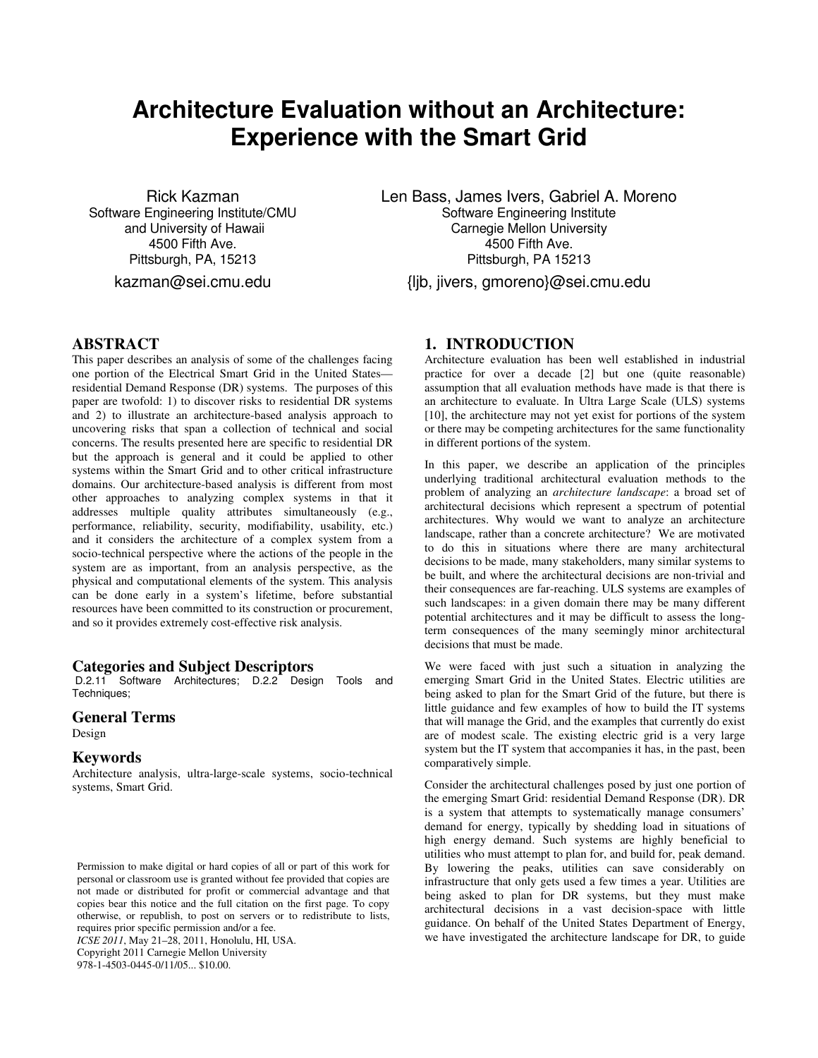# **Architecture Evaluation without an Architecture: Experience with the Smart Grid**

Rick Kazman Software Engineering Institute/CMU and University of Hawaii 4500 Fifth Ave. Pittsburgh, PA, 15213

kazman@sei.cmu.edu

Len Bass, James Ivers, Gabriel A. Moreno Software Engineering Institute Carnegie Mellon University 4500 Fifth Ave. Pittsburgh, PA 15213

{ljb, jivers, gmoreno}@sei.cmu.edu

### **ABSTRACT**

This paper describes an analysis of some of the challenges facing one portion of the Electrical Smart Grid in the United States residential Demand Response (DR) systems. The purposes of this paper are twofold: 1) to discover risks to residential DR systems and 2) to illustrate an architecture-based analysis approach to uncovering risks that span a collection of technical and social concerns. The results presented here are specific to residential DR but the approach is general and it could be applied to other systems within the Smart Grid and to other critical infrastructure domains. Our architecture-based analysis is different from most other approaches to analyzing complex systems in that it addresses multiple quality attributes simultaneously (e.g., performance, reliability, security, modifiability, usability, etc.) and it considers the architecture of a complex system from a socio-technical perspective where the actions of the people in the system are as important, from an analysis perspective, as the physical and computational elements of the system. This analysis can be done early in a system's lifetime, before substantial resources have been committed to its construction or procurement, and so it provides extremely cost-effective risk analysis.

#### **Categories and Subject Descriptors**

 D.2.11 Software Architectures; D.2.2 Design Tools and Techniques;

#### **General Terms**

Design

#### **Keywords**

Architecture analysis, ultra-large-scale systems, socio-technical systems, Smart Grid.

*ICSE 2011*, May 21–28, 2011, Honolulu, HI, USA. Copyright 2011 Carnegie Mellon University

978-1-4503-0445-0/11/05... \$10.00.

### **1. INTRODUCTION**

Architecture evaluation has been well established in industrial practice for over a decade [2] but one (quite reasonable) assumption that all evaluation methods have made is that there is an architecture to evaluate. In Ultra Large Scale (ULS) systems [10], the architecture may not yet exist for portions of the system or there may be competing architectures for the same functionality in different portions of the system.

In this paper, we describe an application of the principles underlying traditional architectural evaluation methods to the problem of analyzing an *architecture landscape*: a broad set of architectural decisions which represent a spectrum of potential architectures. Why would we want to analyze an architecture landscape, rather than a concrete architecture? We are motivated to do this in situations where there are many architectural decisions to be made, many stakeholders, many similar systems to be built, and where the architectural decisions are non-trivial and their consequences are far-reaching. ULS systems are examples of such landscapes: in a given domain there may be many different potential architectures and it may be difficult to assess the longterm consequences of the many seemingly minor architectural decisions that must be made.

We were faced with just such a situation in analyzing the emerging Smart Grid in the United States. Electric utilities are being asked to plan for the Smart Grid of the future, but there is little guidance and few examples of how to build the IT systems that will manage the Grid, and the examples that currently do exist are of modest scale. The existing electric grid is a very large system but the IT system that accompanies it has, in the past, been comparatively simple.

Consider the architectural challenges posed by just one portion of the emerging Smart Grid: residential Demand Response (DR). DR is a system that attempts to systematically manage consumers' demand for energy, typically by shedding load in situations of high energy demand. Such systems are highly beneficial to utilities who must attempt to plan for, and build for, peak demand. By lowering the peaks, utilities can save considerably on infrastructure that only gets used a few times a year. Utilities are being asked to plan for DR systems, but they must make architectural decisions in a vast decision-space with little guidance. On behalf of the United States Department of Energy, we have investigated the architecture landscape for DR, to guide

Permission to make digital or hard copies of all or part of this work for personal or classroom use is granted without fee provided that copies are not made or distributed for profit or commercial advantage and that copies bear this notice and the full citation on the first page. To copy otherwise, or republish, to post on servers or to redistribute to lists, requires prior specific permission and/or a fee.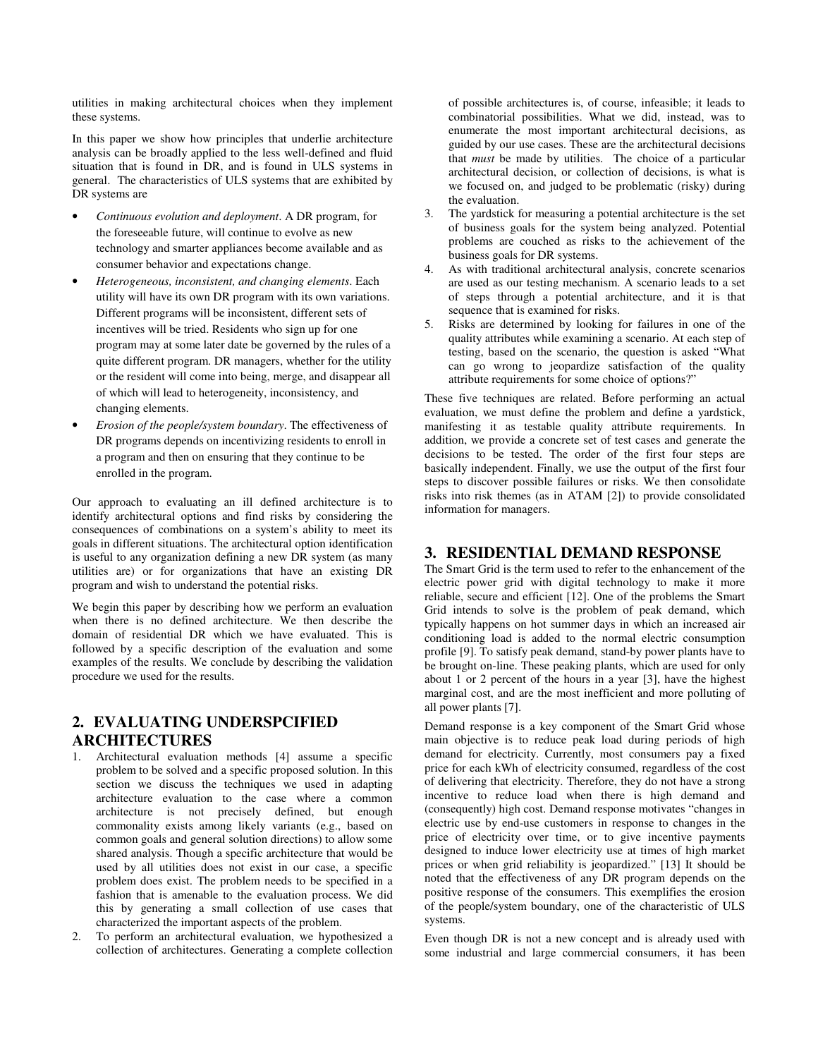utilities in making architectural choices when they implement these systems.

In this paper we show how principles that underlie architecture analysis can be broadly applied to the less well-defined and fluid situation that is found in DR, and is found in ULS systems in general. The characteristics of ULS systems that are exhibited by DR systems are

- *Continuous evolution and deployment*. A DR program, for the foreseeable future, will continue to evolve as new technology and smarter appliances become available and as consumer behavior and expectations change.
- *Heterogeneous, inconsistent, and changing elements*. Each utility will have its own DR program with its own variations. Different programs will be inconsistent, different sets of incentives will be tried. Residents who sign up for one program may at some later date be governed by the rules of a quite different program. DR managers, whether for the utility or the resident will come into being, merge, and disappear all of which will lead to heterogeneity, inconsistency, and changing elements.
- *Erosion of the people/system boundary*. The effectiveness of DR programs depends on incentivizing residents to enroll in a program and then on ensuring that they continue to be enrolled in the program.

Our approach to evaluating an ill defined architecture is to identify architectural options and find risks by considering the consequences of combinations on a system's ability to meet its goals in different situations. The architectural option identification is useful to any organization defining a new DR system (as many utilities are) or for organizations that have an existing DR program and wish to understand the potential risks.

We begin this paper by describing how we perform an evaluation when there is no defined architecture. We then describe the domain of residential DR which we have evaluated. This is followed by a specific description of the evaluation and some examples of the results. We conclude by describing the validation procedure we used for the results.

# **2. EVALUATING UNDERSPCIFIED ARCHITECTURES**

- 1. Architectural evaluation methods [4] assume a specific problem to be solved and a specific proposed solution. In this section we discuss the techniques we used in adapting architecture evaluation to the case where a common architecture is not precisely defined, but enough commonality exists among likely variants (e.g., based on common goals and general solution directions) to allow some shared analysis. Though a specific architecture that would be used by all utilities does not exist in our case, a specific problem does exist. The problem needs to be specified in a fashion that is amenable to the evaluation process. We did this by generating a small collection of use cases that characterized the important aspects of the problem.
- 2. To perform an architectural evaluation, we hypothesized a collection of architectures. Generating a complete collection

of possible architectures is, of course, infeasible; it leads to combinatorial possibilities. What we did, instead, was to enumerate the most important architectural decisions, as guided by our use cases. These are the architectural decisions that *must* be made by utilities. The choice of a particular architectural decision, or collection of decisions, is what is we focused on, and judged to be problematic (risky) during the evaluation.

- 3. The yardstick for measuring a potential architecture is the set of business goals for the system being analyzed. Potential problems are couched as risks to the achievement of the business goals for DR systems.
- 4. As with traditional architectural analysis, concrete scenarios are used as our testing mechanism. A scenario leads to a set of steps through a potential architecture, and it is that sequence that is examined for risks.
- 5. Risks are determined by looking for failures in one of the quality attributes while examining a scenario. At each step of testing, based on the scenario, the question is asked "What can go wrong to jeopardize satisfaction of the quality attribute requirements for some choice of options?"

These five techniques are related. Before performing an actual evaluation, we must define the problem and define a yardstick, manifesting it as testable quality attribute requirements. In addition, we provide a concrete set of test cases and generate the decisions to be tested. The order of the first four steps are basically independent. Finally, we use the output of the first four steps to discover possible failures or risks. We then consolidate risks into risk themes (as in ATAM [2]) to provide consolidated information for managers.

# **3. RESIDENTIAL DEMAND RESPONSE**

The Smart Grid is the term used to refer to the enhancement of the electric power grid with digital technology to make it more reliable, secure and efficient [12]. One of the problems the Smart Grid intends to solve is the problem of peak demand, which typically happens on hot summer days in which an increased air conditioning load is added to the normal electric consumption profile [9]. To satisfy peak demand, stand-by power plants have to be brought on-line. These peaking plants, which are used for only about 1 or 2 percent of the hours in a year [3], have the highest marginal cost, and are the most inefficient and more polluting of all power plants [7].

Demand response is a key component of the Smart Grid whose main objective is to reduce peak load during periods of high demand for electricity. Currently, most consumers pay a fixed price for each kWh of electricity consumed, regardless of the cost of delivering that electricity. Therefore, they do not have a strong incentive to reduce load when there is high demand and (consequently) high cost. Demand response motivates "changes in electric use by end-use customers in response to changes in the price of electricity over time, or to give incentive payments designed to induce lower electricity use at times of high market prices or when grid reliability is jeopardized." [13] It should be noted that the effectiveness of any DR program depends on the positive response of the consumers. This exemplifies the erosion of the people/system boundary, one of the characteristic of ULS systems.

Even though DR is not a new concept and is already used with some industrial and large commercial consumers, it has been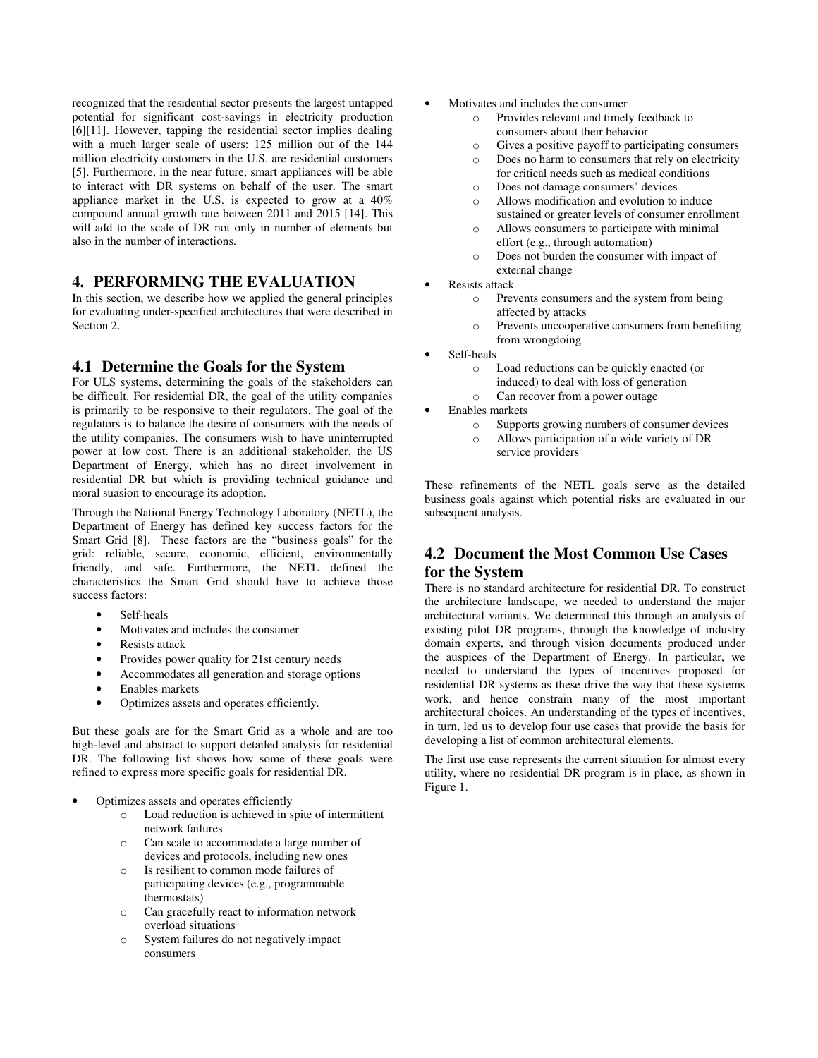recognized that the residential sector presents the largest untapped potential for significant cost-savings in electricity production [6][11]. However, tapping the residential sector implies dealing with a much larger scale of users: 125 million out of the 144 million electricity customers in the U.S. are residential customers [5]. Furthermore, in the near future, smart appliances will be able to interact with DR systems on behalf of the user. The smart appliance market in the U.S. is expected to grow at a 40% compound annual growth rate between 2011 and 2015 [14]. This will add to the scale of DR not only in number of elements but also in the number of interactions.

## **4. PERFORMING THE EVALUATION**

In this section, we describe how we applied the general principles for evaluating under-specified architectures that were described in Section 2.

## **4.1 Determine the Goals for the System**

For ULS systems, determining the goals of the stakeholders can be difficult. For residential DR, the goal of the utility companies is primarily to be responsive to their regulators. The goal of the regulators is to balance the desire of consumers with the needs of the utility companies. The consumers wish to have uninterrupted power at low cost. There is an additional stakeholder, the US Department of Energy, which has no direct involvement in residential DR but which is providing technical guidance and moral suasion to encourage its adoption.

Through the National Energy Technology Laboratory (NETL), the Department of Energy has defined key success factors for the Smart Grid [8]. These factors are the "business goals" for the grid: reliable, secure, economic, efficient, environmentally friendly, and safe. Furthermore, the NETL defined the characteristics the Smart Grid should have to achieve those success factors:

- Self-heals
- Motivates and includes the consumer
- Resists attack
- Provides power quality for 21st century needs
- Accommodates all generation and storage options
- Enables markets
- Optimizes assets and operates efficiently.

But these goals are for the Smart Grid as a whole and are too high-level and abstract to support detailed analysis for residential DR. The following list shows how some of these goals were refined to express more specific goals for residential DR.

- Optimizes assets and operates efficiently
	- o Load reduction is achieved in spite of intermittent network failures
	- o Can scale to accommodate a large number of devices and protocols, including new ones
	- o Is resilient to common mode failures of participating devices (e.g., programmable thermostats)
	- o Can gracefully react to information network overload situations
	- o System failures do not negatively impact consumers
- Motivates and includes the consumer
	- o Provides relevant and timely feedback to consumers about their behavior
	- o Gives a positive payoff to participating consumers
	- o Does no harm to consumers that rely on electricity for critical needs such as medical conditions
	- o Does not damage consumers' devices
	- o Allows modification and evolution to induce sustained or greater levels of consumer enrollment
	- o Allows consumers to participate with minimal effort (e.g., through automation)
	- o Does not burden the consumer with impact of external change
- Resists attack
	- o Prevents consumers and the system from being affected by attacks
	- o Prevents uncooperative consumers from benefiting from wrongdoing
- Self-heals
	- o Load reductions can be quickly enacted (or
	- induced) to deal with loss of generation
	- o Can recover from a power outage
- Enables markets
	- o Supports growing numbers of consumer devices
	- o Allows participation of a wide variety of DR service providers

These refinements of the NETL goals serve as the detailed business goals against which potential risks are evaluated in our subsequent analysis.

# **4.2 Document the Most Common Use Cases for the System**

There is no standard architecture for residential DR. To construct the architecture landscape, we needed to understand the major architectural variants. We determined this through an analysis of existing pilot DR programs, through the knowledge of industry domain experts, and through vision documents produced under the auspices of the Department of Energy. In particular, we needed to understand the types of incentives proposed for residential DR systems as these drive the way that these systems work, and hence constrain many of the most important architectural choices. An understanding of the types of incentives, in turn, led us to develop four use cases that provide the basis for developing a list of common architectural elements.

The first use case represents the current situation for almost every utility, where no residential DR program is in place, as shown in Figure 1.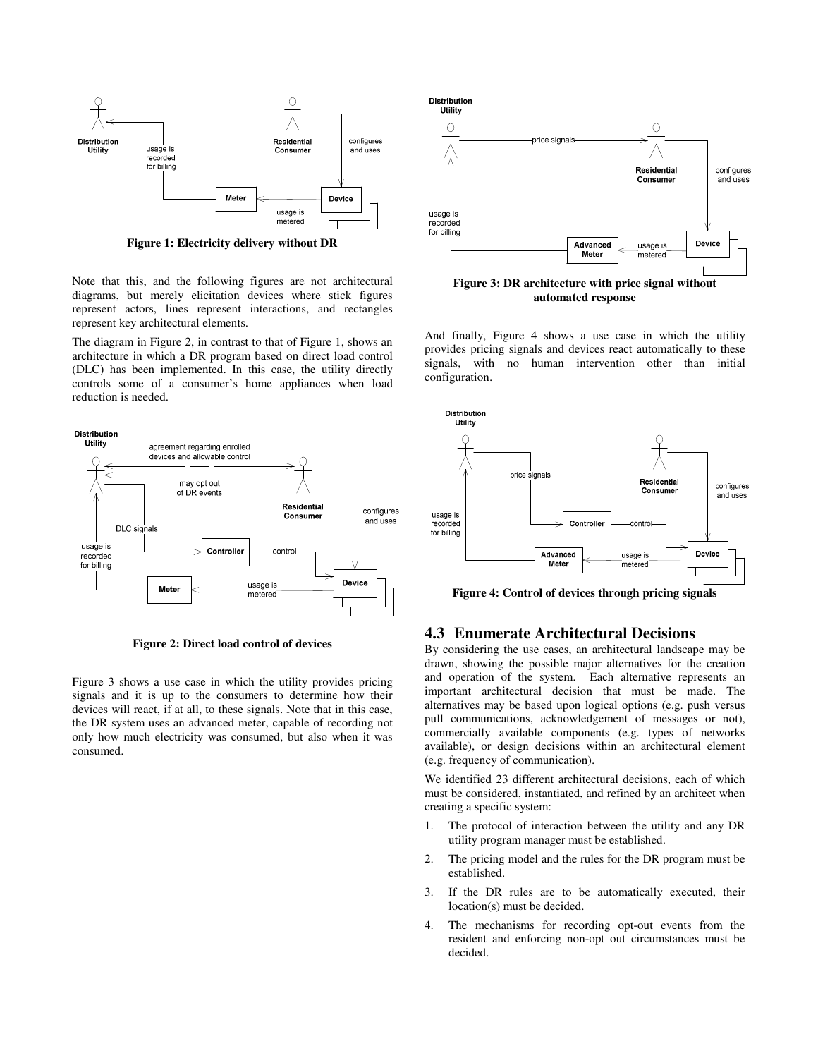

**Figure 1: Electricity delivery without DR** 

Note that this, and the following figures are not architectural diagrams, but merely elicitation devices where stick figures represent actors, lines represent interactions, and rectangles represent key architectural elements.

The diagram in Figure 2, in contrast to that of Figure 1, shows an architecture in which a DR program based on direct load control (DLC) has been implemented. In this case, the utility directly controls some of a consumer's home appliances when load reduction is needed.





**Figure 2: Direct load control of devices** 

Figure 3 shows a use case in which the utility provides pricing signals and it is up to the consumers to determine how their devices will react, if at all, to these signals. Note that in this case, the DR system uses an advanced meter, capable of recording not only how much electricity was consumed, but also when it was consumed.



And finally, Figure 4 shows a use case in which the utility provides pricing signals and devices react automatically to these

signals, with no human intervention other than initial

configuration.



**Figure 4: Control of devices through pricing signals** 

### **4.3 Enumerate Architectural Decisions**

By considering the use cases, an architectural landscape may be drawn, showing the possible major alternatives for the creation and operation of the system. Each alternative represents an important architectural decision that must be made. The alternatives may be based upon logical options (e.g. push versus pull communications, acknowledgement of messages or not), commercially available components (e.g. types of networks available), or design decisions within an architectural element (e.g. frequency of communication).

We identified 23 different architectural decisions, each of which must be considered, instantiated, and refined by an architect when creating a specific system:

- 1. The protocol of interaction between the utility and any DR utility program manager must be established.
- 2. The pricing model and the rules for the DR program must be established.
- 3. If the DR rules are to be automatically executed, their location(s) must be decided.
- 4. The mechanisms for recording opt-out events from the resident and enforcing non-opt out circumstances must be decided.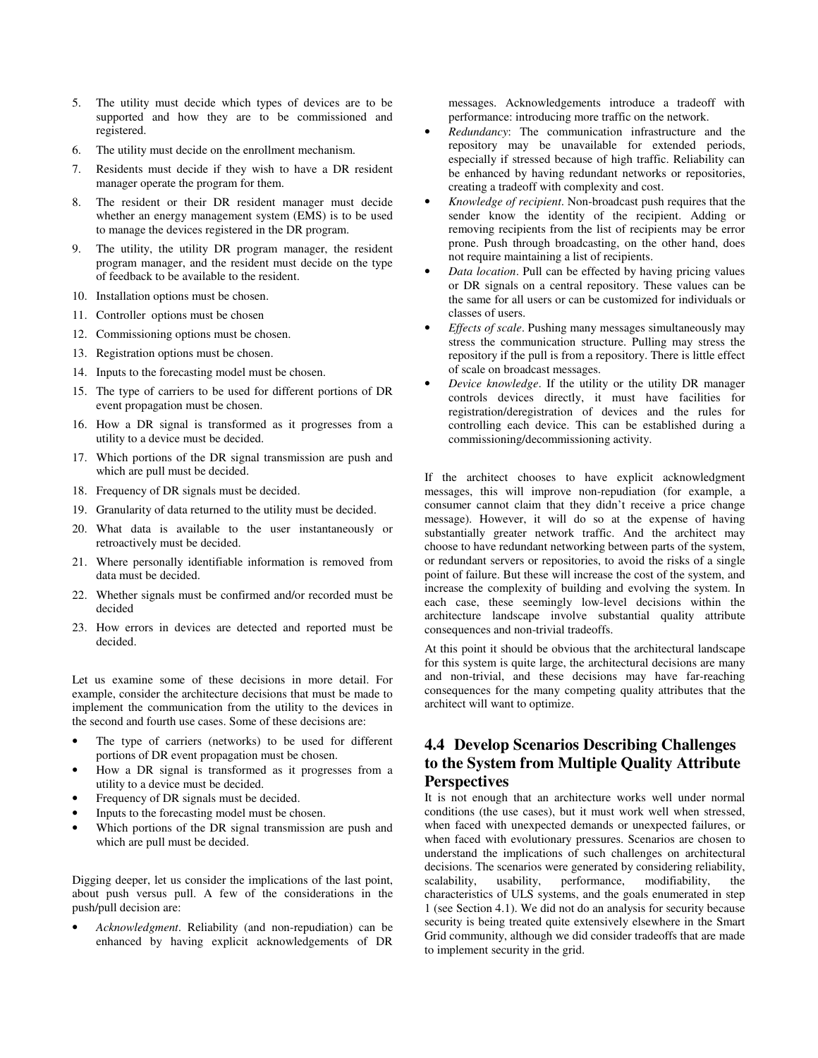- 5. The utility must decide which types of devices are to be supported and how they are to be commissioned and registered.
- 6. The utility must decide on the enrollment mechanism.
- 7. Residents must decide if they wish to have a DR resident manager operate the program for them.
- 8. The resident or their DR resident manager must decide whether an energy management system (EMS) is to be used to manage the devices registered in the DR program.
- 9. The utility, the utility DR program manager, the resident program manager, and the resident must decide on the type of feedback to be available to the resident.
- 10. Installation options must be chosen.
- 11. Controller options must be chosen
- 12. Commissioning options must be chosen.
- 13. Registration options must be chosen.
- 14. Inputs to the forecasting model must be chosen.
- 15. The type of carriers to be used for different portions of DR event propagation must be chosen.
- 16. How a DR signal is transformed as it progresses from a utility to a device must be decided.
- 17. Which portions of the DR signal transmission are push and which are pull must be decided.
- 18. Frequency of DR signals must be decided.
- 19. Granularity of data returned to the utility must be decided.
- 20. What data is available to the user instantaneously or retroactively must be decided.
- 21. Where personally identifiable information is removed from data must be decided.
- 22. Whether signals must be confirmed and/or recorded must be decided
- 23. How errors in devices are detected and reported must be decided.

Let us examine some of these decisions in more detail. For example, consider the architecture decisions that must be made to implement the communication from the utility to the devices in the second and fourth use cases. Some of these decisions are:

- The type of carriers (networks) to be used for different portions of DR event propagation must be chosen.
- How a DR signal is transformed as it progresses from a utility to a device must be decided.
- Frequency of DR signals must be decided.
- Inputs to the forecasting model must be chosen.
- Which portions of the DR signal transmission are push and which are pull must be decided.

Digging deeper, let us consider the implications of the last point, about push versus pull. A few of the considerations in the push/pull decision are:

• *Acknowledgment*. Reliability (and non-repudiation) can be enhanced by having explicit acknowledgements of DR

messages. Acknowledgements introduce a tradeoff with performance: introducing more traffic on the network.

- *Redundancy*: The communication infrastructure and the repository may be unavailable for extended periods, especially if stressed because of high traffic. Reliability can be enhanced by having redundant networks or repositories, creating a tradeoff with complexity and cost.
- *Knowledge of recipient*. Non-broadcast push requires that the sender know the identity of the recipient. Adding or removing recipients from the list of recipients may be error prone. Push through broadcasting, on the other hand, does not require maintaining a list of recipients.
- *Data location*. Pull can be effected by having pricing values or DR signals on a central repository. These values can be the same for all users or can be customized for individuals or classes of users.
- *Effects of scale*. Pushing many messages simultaneously may stress the communication structure. Pulling may stress the repository if the pull is from a repository. There is little effect of scale on broadcast messages.
- *Device knowledge*. If the utility or the utility DR manager controls devices directly, it must have facilities for registration/deregistration of devices and the rules for controlling each device. This can be established during a commissioning/decommissioning activity.

If the architect chooses to have explicit acknowledgment messages, this will improve non-repudiation (for example, a consumer cannot claim that they didn't receive a price change message). However, it will do so at the expense of having substantially greater network traffic. And the architect may choose to have redundant networking between parts of the system, or redundant servers or repositories, to avoid the risks of a single point of failure. But these will increase the cost of the system, and increase the complexity of building and evolving the system. In each case, these seemingly low-level decisions within the architecture landscape involve substantial quality attribute consequences and non-trivial tradeoffs.

At this point it should be obvious that the architectural landscape for this system is quite large, the architectural decisions are many and non-trivial, and these decisions may have far-reaching consequences for the many competing quality attributes that the architect will want to optimize.

# **4.4 Develop Scenarios Describing Challenges to the System from Multiple Quality Attribute Perspectives**

It is not enough that an architecture works well under normal conditions (the use cases), but it must work well when stressed, when faced with unexpected demands or unexpected failures, or when faced with evolutionary pressures. Scenarios are chosen to understand the implications of such challenges on architectural decisions. The scenarios were generated by considering reliability, scalability, usability, performance, modifiability, the characteristics of ULS systems, and the goals enumerated in step 1 (see Section 4.1). We did not do an analysis for security because security is being treated quite extensively elsewhere in the Smart Grid community, although we did consider tradeoffs that are made to implement security in the grid.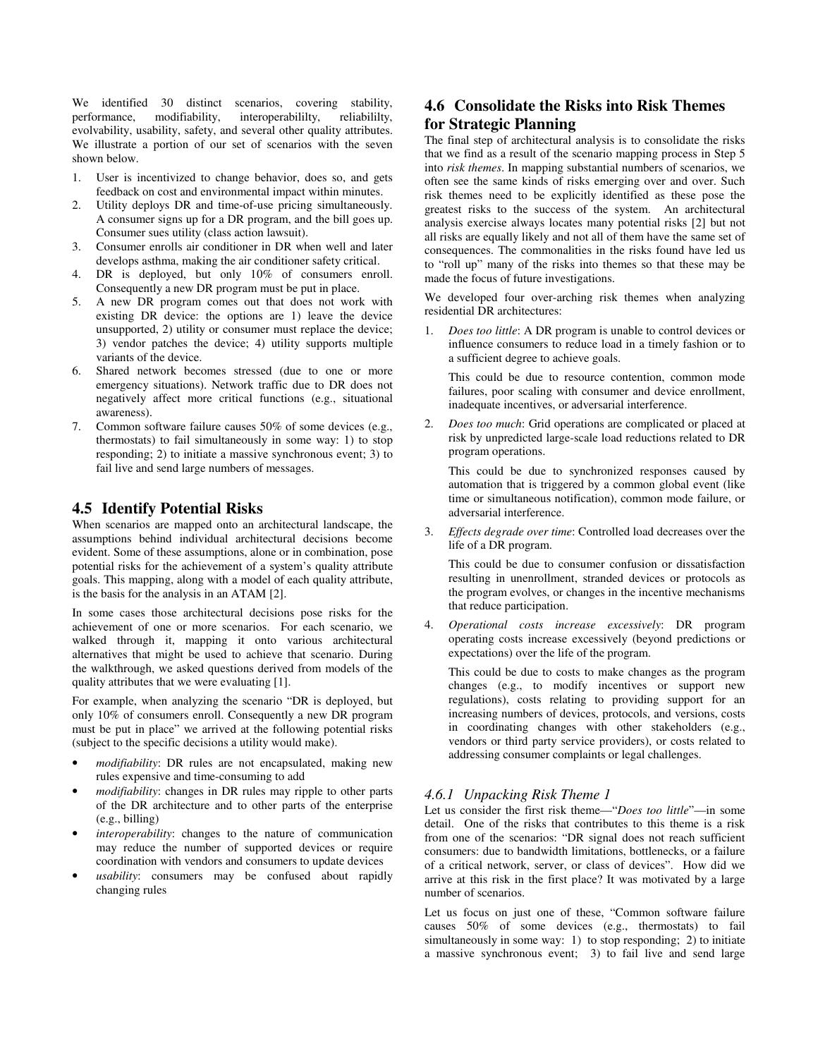We identified 30 distinct scenarios, covering stability, performance, modifiability, interoperabililty, reliabililty, evolvability, usability, safety, and several other quality attributes. We illustrate a portion of our set of scenarios with the seven shown below.

- 1. User is incentivized to change behavior, does so, and gets feedback on cost and environmental impact within minutes.
- 2. Utility deploys DR and time-of-use pricing simultaneously. A consumer signs up for a DR program, and the bill goes up. Consumer sues utility (class action lawsuit).
- 3. Consumer enrolls air conditioner in DR when well and later develops asthma, making the air conditioner safety critical.
- 4. DR is deployed, but only 10% of consumers enroll. Consequently a new DR program must be put in place.
- 5. A new DR program comes out that does not work with existing DR device: the options are 1) leave the device unsupported, 2) utility or consumer must replace the device; 3) vendor patches the device; 4) utility supports multiple variants of the device.
- 6. Shared network becomes stressed (due to one or more emergency situations). Network traffic due to DR does not negatively affect more critical functions (e.g., situational awareness).
- 7. Common software failure causes 50% of some devices (e.g., thermostats) to fail simultaneously in some way: 1) to stop responding; 2) to initiate a massive synchronous event; 3) to fail live and send large numbers of messages.

# **4.5 Identify Potential Risks**

When scenarios are mapped onto an architectural landscape, the assumptions behind individual architectural decisions become evident. Some of these assumptions, alone or in combination, pose potential risks for the achievement of a system's quality attribute goals. This mapping, along with a model of each quality attribute, is the basis for the analysis in an ATAM [2].

In some cases those architectural decisions pose risks for the achievement of one or more scenarios. For each scenario, we walked through it, mapping it onto various architectural alternatives that might be used to achieve that scenario. During the walkthrough, we asked questions derived from models of the quality attributes that we were evaluating [1].

For example, when analyzing the scenario "DR is deployed, but only 10% of consumers enroll. Consequently a new DR program must be put in place" we arrived at the following potential risks (subject to the specific decisions a utility would make).

- *modifiability*: DR rules are not encapsulated, making new rules expensive and time-consuming to add
- *modifiability*: changes in DR rules may ripple to other parts of the DR architecture and to other parts of the enterprise (e.g., billing)
- *interoperability*: changes to the nature of communication may reduce the number of supported devices or require coordination with vendors and consumers to update devices
- usability: consumers may be confused about rapidly changing rules

# **4.6 Consolidate the Risks into Risk Themes for Strategic Planning**

The final step of architectural analysis is to consolidate the risks that we find as a result of the scenario mapping process in Step 5 into *risk themes*. In mapping substantial numbers of scenarios, we often see the same kinds of risks emerging over and over. Such risk themes need to be explicitly identified as these pose the greatest risks to the success of the system. An architectural analysis exercise always locates many potential risks [2] but not all risks are equally likely and not all of them have the same set of consequences. The commonalities in the risks found have led us to "roll up" many of the risks into themes so that these may be made the focus of future investigations.

We developed four over-arching risk themes when analyzing residential DR architectures:

1. *Does too little*: A DR program is unable to control devices or influence consumers to reduce load in a timely fashion or to a sufficient degree to achieve goals.

This could be due to resource contention, common mode failures, poor scaling with consumer and device enrollment, inadequate incentives, or adversarial interference.

2. *Does too much*: Grid operations are complicated or placed at risk by unpredicted large-scale load reductions related to DR program operations.

This could be due to synchronized responses caused by automation that is triggered by a common global event (like time or simultaneous notification), common mode failure, or adversarial interference.

3. *Effects degrade over time*: Controlled load decreases over the life of a DR program.

This could be due to consumer confusion or dissatisfaction resulting in unenrollment, stranded devices or protocols as the program evolves, or changes in the incentive mechanisms that reduce participation.

4. *Operational costs increase excessively*: DR program operating costs increase excessively (beyond predictions or expectations) over the life of the program.

This could be due to costs to make changes as the program changes (e.g., to modify incentives or support new regulations), costs relating to providing support for an increasing numbers of devices, protocols, and versions, costs in coordinating changes with other stakeholders (e.g., vendors or third party service providers), or costs related to addressing consumer complaints or legal challenges.

# *4.6.1 Unpacking Risk Theme 1*

Let us consider the first risk theme—"*Does too little*"—in some detail. One of the risks that contributes to this theme is a risk from one of the scenarios: "DR signal does not reach sufficient consumers: due to bandwidth limitations, bottlenecks, or a failure of a critical network, server, or class of devices". How did we arrive at this risk in the first place? It was motivated by a large number of scenarios.

Let us focus on just one of these, "Common software failure causes 50% of some devices (e.g., thermostats) to fail simultaneously in some way: 1) to stop responding; 2) to initiate a massive synchronous event; 3) to fail live and send large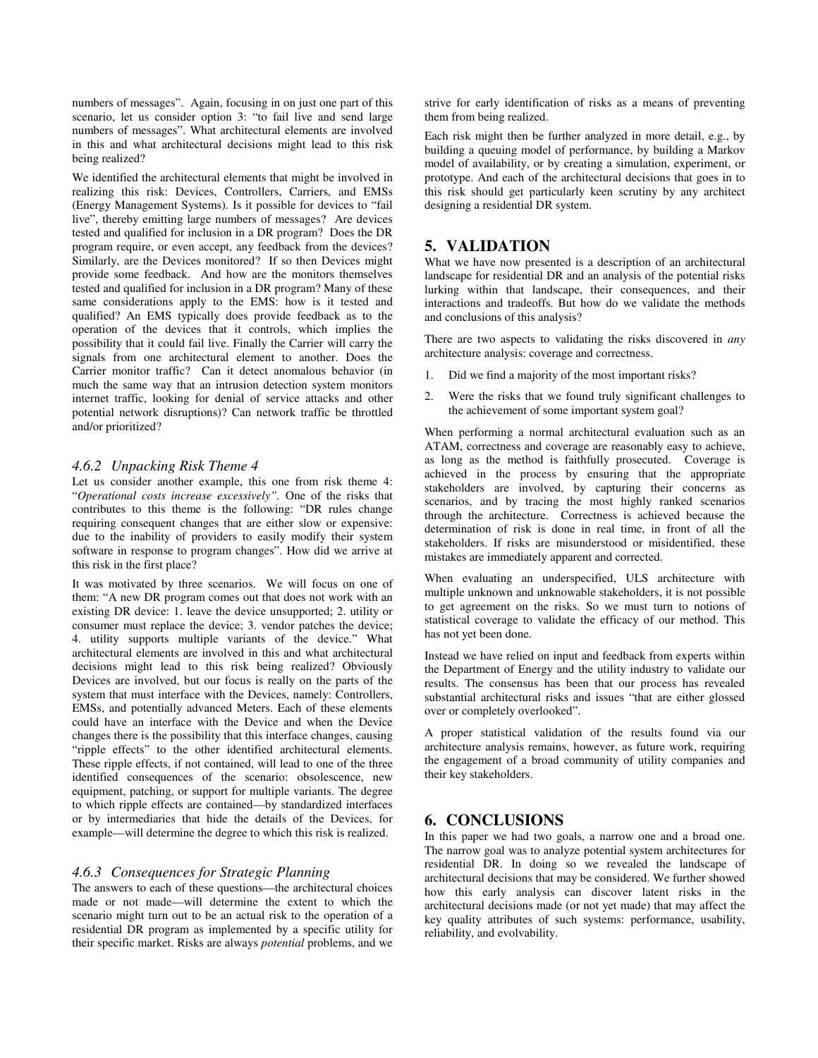numbers of messages". Again, focusing in on just one part of this scenario, let us consider option 3: "to fail live and send large numbers of messages". What architectural elements are involved in this and what architectural decisions might lead to this risk being realized?

We identified the architectural elements that might be involved in realizing this risk: Devices, Controllers, Carriers, and EMSs (Energy Management Systems). Is it possible for devices to "fail live", thereby emitting large numbers of messages? Are devices tested and qualified for inclusion in a DR program? Does the DR program require, or even accept, any feedback from the devices? Similarly, are the Devices monitored? If so then Devices might provide some feedback. And how are the monitors themselves tested and qualified for inclusion in a DR program? Many of these same considerations apply to the EMS: how is it tested and qualified? An EMS typically does provide feedback as to the operation of the devices that it controls, which implies the possibility that it could fail live. Finally the Carrier will carry the signals from one architectural element to another. Does the Carrier monitor traffic? Can it detect anomalous behavior (in much the same way that an intrusion detection system monitors internet traffic, looking for denial of service attacks and other potential network disruptions)? Can network traffic be throttled and/or prioritized?

## *4.6.2 Unpacking Risk Theme 4*

Let us consider another example, this one from risk theme 4: "*Operational costs increase excessively".* One of the risks that contributes to this theme is the following: "DR rules change requiring consequent changes that are either slow or expensive: due to the inability of providers to easily modify their system software in response to program changes". How did we arrive at this risk in the first place?

It was motivated by three scenarios. We will focus on one of them: "A new DR program comes out that does not work with an existing DR device: 1. leave the device unsupported; 2. utility or consumer must replace the device; 3. vendor patches the device; 4. utility supports multiple variants of the device." What architectural elements are involved in this and what architectural decisions might lead to this risk being realized? Obviously Devices are involved, but our focus is really on the parts of the system that must interface with the Devices, namely: Controllers, EMSs, and potentially advanced Meters. Each of these elements could have an interface with the Device and when the Device changes there is the possibility that this interface changes, causing "ripple effects" to the other identified architectural elements. These ripple effects, if not contained, will lead to one of the three identified consequences of the scenario: obsolescence, new equipment, patching, or support for multiple variants. The degree to which ripple effects are contained—by standardized interfaces or by intermediaries that hide the details of the Devices, for example—will determine the degree to which this risk is realized.

### *4.6.3 Consequences for Strategic Planning*

The answers to each of these questions—the architectural choices made or not made—will determine the extent to which the scenario might turn out to be an actual risk to the operation of a residential DR program as implemented by a specific utility for their specific market. Risks are always *potential* problems, and we

strive for early identification of risks as a means of preventing them from being realized.

Each risk might then be further analyzed in more detail, e.g., by building a queuing model of performance, by building a Markov model of availability, or by creating a simulation, experiment, or prototype. And each of the architectural decisions that goes in to this risk should get particularly keen scrutiny by any architect designing a residential DR system.

## **5. VALIDATION**

What we have now presented is a description of an architectural landscape for residential DR and an analysis of the potential risks lurking within that landscape, their consequences, and their interactions and tradeoffs. But how do we validate the methods and conclusions of this analysis?

There are two aspects to validating the risks discovered in *any* architecture analysis: coverage and correctness.

- 1. Did we find a majority of the most important risks?
- 2. Were the risks that we found truly significant challenges to the achievement of some important system goal?

When performing a normal architectural evaluation such as an ATAM, correctness and coverage are reasonably easy to achieve, as long as the method is faithfully prosecuted. Coverage is achieved in the process by ensuring that the appropriate stakeholders are involved, by capturing their concerns as scenarios, and by tracing the most highly ranked scenarios through the architecture. Correctness is achieved because the determination of risk is done in real time, in front of all the stakeholders. If risks are misunderstood or misidentified, these mistakes are immediately apparent and corrected.

When evaluating an underspecified, ULS architecture with multiple unknown and unknowable stakeholders, it is not possible to get agreement on the risks. So we must turn to notions of statistical coverage to validate the efficacy of our method. This has not yet been done.

Instead we have relied on input and feedback from experts within the Department of Energy and the utility industry to validate our results. The consensus has been that our process has revealed substantial architectural risks and issues "that are either glossed over or completely overlooked".

A proper statistical validation of the results found via our architecture analysis remains, however, as future work, requiring the engagement of a broad community of utility companies and their key stakeholders.

### **6. CONCLUSIONS**

In this paper we had two goals, a narrow one and a broad one. The narrow goal was to analyze potential system architectures for residential DR. In doing so we revealed the landscape of architectural decisions that may be considered. We further showed how this early analysis can discover latent risks in the architectural decisions made (or not yet made) that may affect the key quality attributes of such systems: performance, usability, reliability, and evolvability.